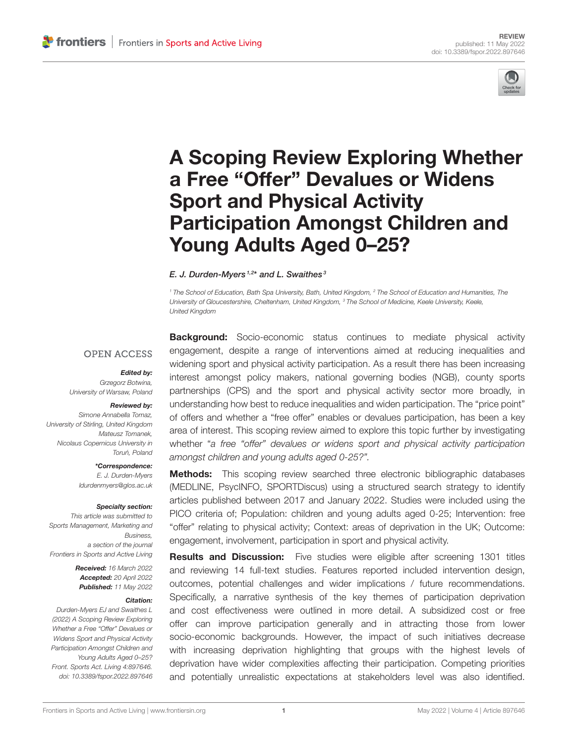

# [A Scoping Review Exploring Whether](https://www.frontiersin.org/articles/10.3389/fspor.2022.897646/full) a Free "Offer" Devalues or Widens Sport and Physical Activity Participation Amongst Children and Young Adults Aged 0–25?

#### E. J. Durden-Myers  $1,2^*$  and L. Swaithes  $^3$

<sup>1</sup> The School of Education, Bath Spa University, Bath, United Kingdom, <sup>2</sup> The School of Education and Humanities, The University of Gloucestershire, Cheltenham, United Kingdom, <sup>3</sup> The School of Medicine, Keele University, Keele, United Kingdom

#### **OPEN ACCESS**

#### Edited by:

Grzegorz Botwina, University of Warsaw, Poland

#### Reviewed by:

Simone Annabella Tomaz, University of Stirling, United Kingdom Mateusz Tomanek, Nicolaus Copernicus University in Toruń, Poland

> \*Correspondence: E. J. Durden-Myers [ldurdenmyers@glos.ac.uk](mailto:ldurdenmyers@glos.ac.uk)

#### Specialty section:

This article was submitted to Sports Management, Marketing and Business, a section of the journal Frontiers in Sports and Active Living

> Received: 16 March 2022 Accepted: 20 April 2022 Published: 11 May 2022

#### Citation:

Durden-Myers EJ and Swaithes L (2022) A Scoping Review Exploring Whether a Free "Offer" Devalues or Widens Sport and Physical Activity Participation Amongst Children and Young Adults Aged 0–25? Front. Sports Act. Living 4:897646. doi: [10.3389/fspor.2022.897646](https://doi.org/10.3389/fspor.2022.897646)

**Background:** Socio-economic status continues to mediate physical activity engagement, despite a range of interventions aimed at reducing inequalities and widening sport and physical activity participation. As a result there has been increasing interest amongst policy makers, national governing bodies (NGB), county sports partnerships (CPS) and the sport and physical activity sector more broadly, in understanding how best to reduce inequalities and widen participation. The "price point" of offers and whether a "free offer" enables or devalues participation, has been a key area of interest. This scoping review aimed to explore this topic further by investigating whether "a free "offer" devalues or widens sport and physical activity participation amongst children and young adults aged 0-25?".

#### **Methods:** This scoping review searched three electronic bibliographic databases (MEDLINE, PsycINFO, SPORTDiscus) using a structured search strategy to identify articles published between 2017 and January 2022. Studies were included using the PICO criteria of; Population: children and young adults aged 0-25; Intervention: free "offer" relating to physical activity; Context: areas of deprivation in the UK; Outcome: engagement, involvement, participation in sport and physical activity.

**Results and Discussion:** Five studies were eligible after screening 1301 titles and reviewing 14 full-text studies. Features reported included intervention design, outcomes, potential challenges and wider implications / future recommendations. Specifically, a narrative synthesis of the key themes of participation deprivation and cost effectiveness were outlined in more detail. A subsidized cost or free offer can improve participation generally and in attracting those from lower socio-economic backgrounds. However, the impact of such initiatives decrease with increasing deprivation highlighting that groups with the highest levels of deprivation have wider complexities affecting their participation. Competing priorities and potentially unrealistic expectations at stakeholders level was also identified.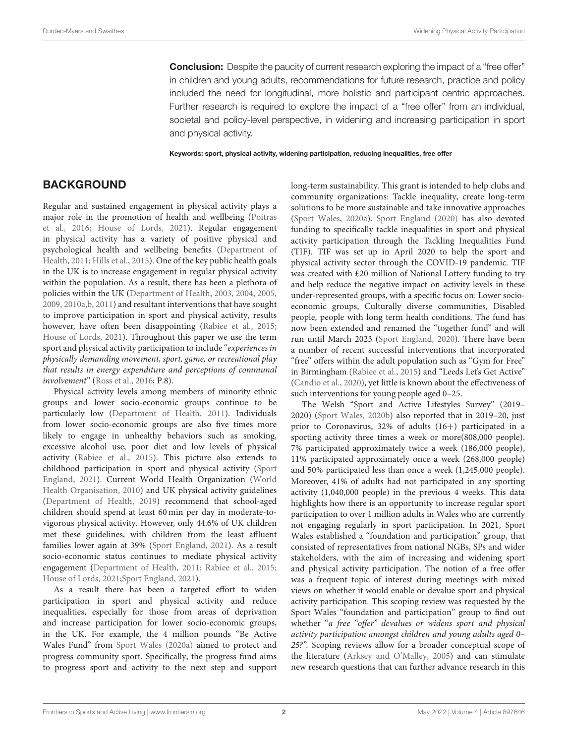**Conclusion:** Despite the paucity of current research exploring the impact of a "free offer" in children and young adults, recommendations for future research, practice and policy included the need for longitudinal, more holistic and participant centric approaches. Further research is required to explore the impact of a "free offer" from an individual, societal and policy-level perspective, in widening and increasing participation in sport and physical activity.

Keywords: sport, physical activity, widening participation, reducing inequalities, free offer

### **BACKGROUND**

Regular and sustained engagement in physical activity plays a major role in the promotion of health and wellbeing (Poitras et al., [2016;](#page-11-0) [House of Lords, 2021\)](#page-11-1). Regular engagement in physical activity has a variety of positive physical and psychological health and wellbeing benefits (Department of Health, [2011;](#page-11-2) [Hills et al., 2015\)](#page-11-3). One of the key public health goals in the UK is to increase engagement in regular physical activity within the population. As a result, there has been a plethora of policies within the UK [\(Department of Health, 2003,](#page-11-4) [2004,](#page-11-5) [2005,](#page-11-6) [2009,](#page-11-7) [2010a,](#page-11-8)[b,](#page-11-9) [2011\)](#page-11-2) and resultant interventions that have sought to improve participation in sport and physical activity, results however, have often been disappointing [\(Rabiee et al., 2015;](#page-11-10) [House of Lords, 2021\)](#page-11-1). Throughout this paper we use the term sport and physical activity participation to include "experiences in physically demanding movement, sport, game, or recreational play that results in energy expenditure and perceptions of communal involvement" [\(Ross et al., 2016;](#page-11-11) P.8).

Physical activity levels among members of minority ethnic groups and lower socio-economic groups continue to be particularly low [\(Department of Health, 2011\)](#page-11-2). Individuals from lower socio-economic groups are also five times more likely to engage in unhealthy behaviors such as smoking, excessive alcohol use, poor diet and low levels of physical activity [\(Rabiee et al., 2015\)](#page-11-10). This picture also extends to childhood participation in sport and physical activity (Sport England, [2021\)](#page-11-12). Current World Health Organization (World Health Organisation, [2010\)](#page-11-13) and UK physical activity guidelines [\(Department of Health, 2019\)](#page-11-14) recommend that school-aged children should spend at least 60 min per day in moderate-tovigorous physical activity. However, only 44.6% of UK children met these guidelines, with children from the least affluent families lower again at 39% [\(Sport England, 2021\)](#page-11-12). As a result socio-economic status continues to mediate physical activity engagement [\(Department of Health, 2011;](#page-11-2) [Rabiee et al., 2015;](#page-11-10) [House of Lords, 2021;](#page-11-1)[Sport England, 2021\)](#page-11-12).

As a result there has been a targeted effort to widen participation in sport and physical activity and reduce inequalities, especially for those from areas of deprivation and increase participation for lower socio-economic groups, in the UK. For example, the 4 million pounds "Be Active Wales Fund" from [Sport Wales \(2020a\)](#page-11-15) aimed to protect and progress community sport. Specifically, the progress fund aims to progress sport and activity to the next step and support long-term sustainability. This grant is intended to help clubs and community organizations: Tackle inequality, create long-term solutions to be more sustainable and take innovative approaches [\(Sport Wales, 2020a\)](#page-11-15). [Sport England \(2020\)](#page-11-16) has also devoted funding to specifically tackle inequalities in sport and physical activity participation through the Tackling Inequalities Fund (TIF). TIF was set up in April 2020 to help the sport and physical activity sector through the COVID-19 pandemic. TIF was created with £20 million of National Lottery funding to try and help reduce the negative impact on activity levels in these under-represented groups, with a specific focus on: Lower socioeconomic groups, Culturally diverse communities, Disabled people, people with long term health conditions. The fund has now been extended and renamed the "together fund" and will run until March 2023 [\(Sport England, 2020\)](#page-11-16). There have been a number of recent successful interventions that incorporated "free" offers within the adult population such as "Gym for Free" in Birmingham [\(Rabiee et al., 2015\)](#page-11-10) and "Leeds Let's Get Active" [\(Candio et al., 2020\)](#page-11-17), yet little is known about the effectiveness of such interventions for young people aged 0–25.

The Welsh "Sport and Active Lifestyles Survey" (2019– 2020) [\(Sport Wales, 2020b\)](#page-11-18) also reported that in 2019–20, just prior to Coronavirus, 32% of adults (16+) participated in a sporting activity three times a week or more(808,000 people). 7% participated approximately twice a week (186,000 people), 11% participated approximately once a week (268,000 people) and 50% participated less than once a week (1,245,000 people). Moreover, 41% of adults had not participated in any sporting activity (1,040,000 people) in the previous 4 weeks. This data highlights how there is an opportunity to increase regular sport participation to over 1 million adults in Wales who are currently not engaging regularly in sport participation. In 2021, Sport Wales established a "foundation and participation" group, that consisted of representatives from national NGBs, SPs and wider stakeholders, with the aim of increasing and widening sport and physical activity participation. The notion of a free offer was a frequent topic of interest during meetings with mixed views on whether it would enable or devalue sport and physical activity participation. This scoping review was requested by the Sport Wales "foundation and participation" group to find out whether "a free "offer" devalues or widens sport and physical activity participation amongst children and young adults aged 0– 25?". Scoping reviews allow for a broader conceptual scope of the literature [\(Arksey and O'Malley, 2005\)](#page-11-19) and can stimulate new research questions that can further advance research in this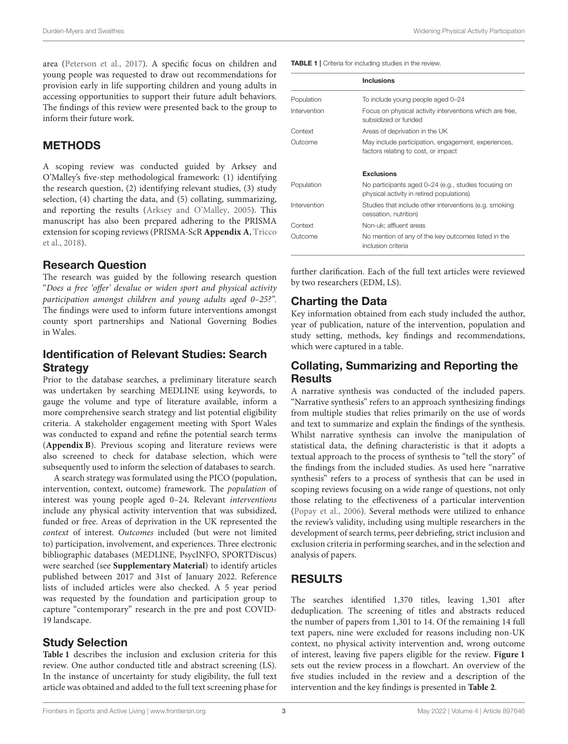area [\(Peterson et al., 2017\)](#page-11-20). A specific focus on children and young people was requested to draw out recommendations for provision early in life supporting children and young adults in accessing opportunities to support their future adult behaviors. The findings of this review were presented back to the group to inform their future work.

#### **METHODS**

A scoping review was conducted guided by Arksey and O'Malley's five-step methodological framework: (1) identifying the research question, (2) identifying relevant studies, (3) study selection, (4) charting the data, and (5) collating, summarizing, and reporting the results [\(Arksey and O'Malley, 2005\)](#page-11-19). This manuscript has also been prepared adhering to the PRISMA extension for scoping reviews (PRISMA-ScR **[Appendix A](#page-10-0)**, Tricco et al., [2018\)](#page-11-21).

#### Research Question

The research was guided by the following research question "Does a free 'offer' devalue or widen sport and physical activity participation amongst children and young adults aged 0–25?". The findings were used to inform future interventions amongst county sport partnerships and National Governing Bodies in Wales.

#### Identification of Relevant Studies: Search **Strategy**

Prior to the database searches, a preliminary literature search was undertaken by searching MEDLINE using keywords, to gauge the volume and type of literature available, inform a more comprehensive search strategy and list potential eligibility criteria. A stakeholder engagement meeting with Sport Wales was conducted to expand and refine the potential search terms (**[Appendix B](#page-10-0)**). Previous scoping and literature reviews were also screened to check for database selection, which were subsequently used to inform the selection of databases to search.

A search strategy was formulated using the PICO (population, intervention, context, outcome) framework. The population of interest was young people aged 0–24. Relevant interventions include any physical activity intervention that was subsidized, funded or free. Areas of deprivation in the UK represented the context of interest. Outcomes included (but were not limited to) participation, involvement, and experiences. Three electronic bibliographic databases (MEDLINE, PsycINFO, SPORTDiscus) were searched (see **[Supplementary Material](#page-10-0)**) to identify articles published between 2017 and 31st of January 2022. Reference lists of included articles were also checked. A 5 year period was requested by the foundation and participation group to capture "contemporary" research in the pre and post COVID-19 landscape.

#### Study Selection

**[Table 1](#page-2-0)** describes the inclusion and exclusion criteria for this review. One author conducted title and abstract screening (LS). In the instance of uncertainty for study eligibility, the full text article was obtained and added to the full text screening phase for

<span id="page-2-0"></span>

|              | <b>Inclusions</b>                                                                                 |
|--------------|---------------------------------------------------------------------------------------------------|
| Population   | To include young people aged 0-24                                                                 |
| Intervention | Focus on physical activity interventions which are free,<br>subsidized or funded                  |
| Context      | Areas of deprivation in the UK                                                                    |
| Outcome      | May include participation, engagement, experiences,<br>factors relating to cost, or impact        |
|              | <b>Exclusions</b>                                                                                 |
| Population   | No participants aged 0-24 (e.g., studies focusing on<br>physical activity in retired populations) |
| Intervention | Studies that include other interventions (e.g. smoking<br>cessation, nutrition)                   |
| Context      | Non-uk: affluent areas                                                                            |
| Outcome      | No mention of any of the key outcomes listed in the<br>inclusion criteria                         |

further clarification. Each of the full text articles were reviewed by two researchers (EDM, LS).

### Charting the Data

Key information obtained from each study included the author, year of publication, nature of the intervention, population and study setting, methods, key findings and recommendations, which were captured in a table.

#### Collating, Summarizing and Reporting the **Results**

A narrative synthesis was conducted of the included papers. "Narrative synthesis" refers to an approach synthesizing findings from multiple studies that relies primarily on the use of words and text to summarize and explain the findings of the synthesis. Whilst narrative synthesis can involve the manipulation of statistical data, the defining characteristic is that it adopts a textual approach to the process of synthesis to "tell the story" of the findings from the included studies. As used here "narrative synthesis" refers to a process of synthesis that can be used in scoping reviews focusing on a wide range of questions, not only those relating to the effectiveness of a particular intervention [\(Popay et al., 2006\)](#page-11-22). Several methods were utilized to enhance the review's validity, including using multiple researchers in the development of search terms, peer debriefing, strict inclusion and exclusion criteria in performing searches, and in the selection and analysis of papers.

# RESULTS

The searches identified 1,370 titles, leaving 1,301 after deduplication. The screening of titles and abstracts reduced the number of papers from 1,301 to 14. Of the remaining 14 full text papers, nine were excluded for reasons including non-UK context, no physical activity intervention and, wrong outcome of interest, leaving five papers eligible for the review. **[Figure 1](#page-3-0)** sets out the review process in a flowchart. An overview of the five studies included in the review and a description of the intervention and the key findings is presented in **[Table 2](#page-4-0)**.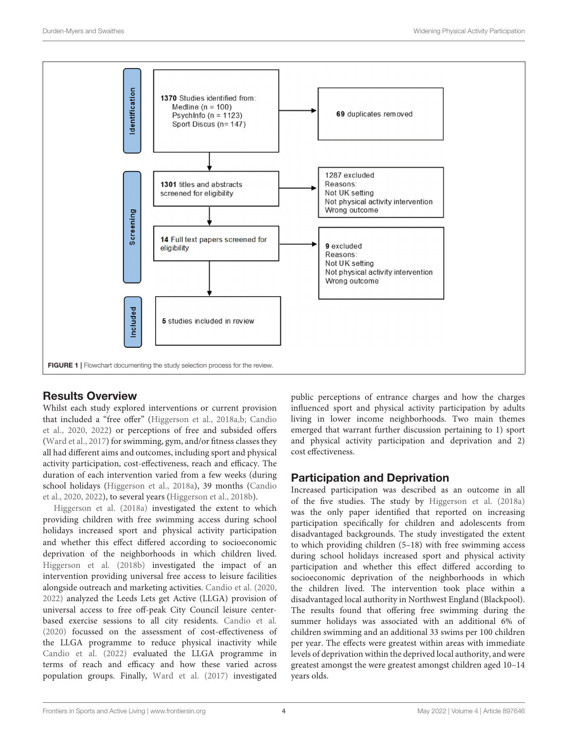

#### <span id="page-3-0"></span>Results Overview

Whilst each study explored interventions or current provision that included a "free offer" [\(Higgerson et al., 2018a](#page-11-23)[,b;](#page-11-24) Candio et al., [2020,](#page-11-17) [2022\)](#page-11-25) or perceptions of free and subsided offers [\(Ward et al., 2017\)](#page-11-26) for swimming, gym, and/or fitness classes they all had different aims and outcomes, including sport and physical activity participation, cost-effectiveness, reach and efficacy. The duration of each intervention varied from a few weeks (during school holidays [\(Higgerson et al., 2018a\)](#page-11-23), 39 months (Candio et al., [2020,](#page-11-17) [2022\)](#page-11-25), to several years [\(Higgerson et al., 2018b\)](#page-11-24).

[Higgerson et al. \(2018a\)](#page-11-23) investigated the extent to which providing children with free swimming access during school holidays increased sport and physical activity participation and whether this effect differed according to socioeconomic deprivation of the neighborhoods in which children lived. [Higgerson et al. \(2018b\)](#page-11-24) investigated the impact of an intervention providing universal free access to leisure facilities alongside outreach and marketing activities. [Candio et al. \(2020,](#page-11-17) [2022\)](#page-11-25) analyzed the Leeds Lets get Active (LLGA) provision of universal access to free off-peak City Council leisure centerbased exercise sessions to all city residents. [Candio et al.](#page-11-17) [\(2020\)](#page-11-17) focussed on the assessment of cost-effectiveness of the LLGA programme to reduce physical inactivity while [Candio et al. \(2022\)](#page-11-25) evaluated the LLGA programme in terms of reach and efficacy and how these varied across population groups. Finally, [Ward et al. \(2017\)](#page-11-26) investigated

public perceptions of entrance charges and how the charges influenced sport and physical activity participation by adults living in lower income neighborhoods. Two main themes emerged that warrant further discussion pertaining to 1) sport and physical activity participation and deprivation and 2) cost effectiveness.

#### Participation and Deprivation

Increased participation was described as an outcome in all of the five studies. The study by [Higgerson et al. \(2018a\)](#page-11-23) was the only paper identified that reported on increasing participation specifically for children and adolescents from disadvantaged backgrounds. The study investigated the extent to which providing children (5–18) with free swimming access during school holidays increased sport and physical activity participation and whether this effect differed according to socioeconomic deprivation of the neighborhoods in which the children lived. The intervention took place within a disadvantaged local authority in Northwest England (Blackpool). The results found that offering free swimming during the summer holidays was associated with an additional 6% of children swimming and an additional 33 swims per 100 children per year. The effects were greatest within areas with immediate levels of deprivation within the deprived local authority, and were greatest amongst the were greatest amongst children aged 10–14 years olds.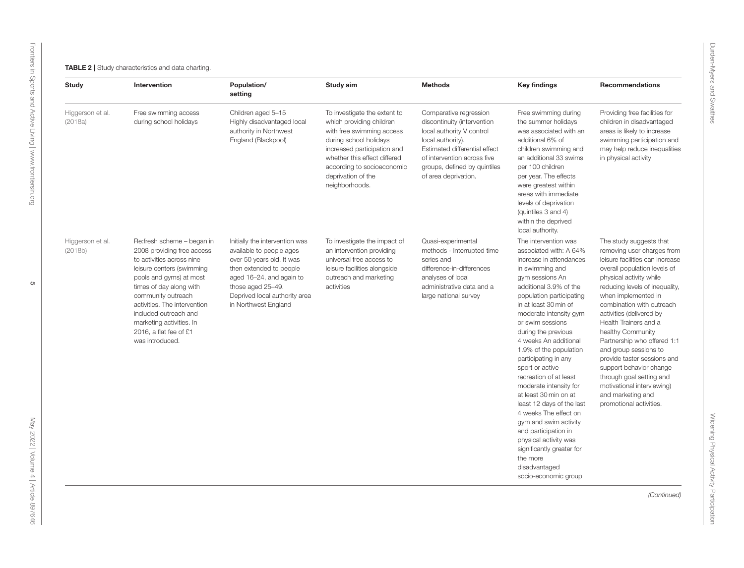<span id="page-4-0"></span>

| Study                       | Intervention                                                                                                                                                                                                                                                                                                                     | Population/<br>setting                                                                                                                                                                                                       | Study aim                                                                                                                                                                                                                                            | <b>Methods</b>                                                                                                                                                                                                                  | <b>Key findings</b>                                                                                                                                                                                                                                                                                                                                                                                                                                                                                                                                                                                                                                              | Recommendations                                                                                                                                                                                                                                                                                                                                                                                                                                                                                                                                 |
|-----------------------------|----------------------------------------------------------------------------------------------------------------------------------------------------------------------------------------------------------------------------------------------------------------------------------------------------------------------------------|------------------------------------------------------------------------------------------------------------------------------------------------------------------------------------------------------------------------------|------------------------------------------------------------------------------------------------------------------------------------------------------------------------------------------------------------------------------------------------------|---------------------------------------------------------------------------------------------------------------------------------------------------------------------------------------------------------------------------------|------------------------------------------------------------------------------------------------------------------------------------------------------------------------------------------------------------------------------------------------------------------------------------------------------------------------------------------------------------------------------------------------------------------------------------------------------------------------------------------------------------------------------------------------------------------------------------------------------------------------------------------------------------------|-------------------------------------------------------------------------------------------------------------------------------------------------------------------------------------------------------------------------------------------------------------------------------------------------------------------------------------------------------------------------------------------------------------------------------------------------------------------------------------------------------------------------------------------------|
| Higgerson et al.<br>(2018a) | Free swimming access<br>during school holidays                                                                                                                                                                                                                                                                                   | Children aged 5-15<br>Highly disadvantaged local<br>authority in Northwest<br>England (Blackpool)                                                                                                                            | To investigate the extent to<br>which providing children<br>with free swimming access<br>during school holidays<br>increased participation and<br>whether this effect differed<br>according to socioeconomic<br>deprivation of the<br>neighborhoods. | Comparative regression<br>discontinuity (intervention<br>local authority V control<br>local authority).<br>Estimated differential effect<br>of intervention across five<br>groups, defined by quintiles<br>of area deprivation. | Free swimming during<br>the summer holidays<br>was associated with an<br>additional 6% of<br>children swimming and<br>an additional 33 swims<br>per 100 children<br>per year. The effects<br>were greatest within<br>areas with immediate<br>levels of deprivation<br>(quintiles 3 and 4)<br>within the deprived<br>local authority.                                                                                                                                                                                                                                                                                                                             | Providing free facilities for<br>children in disadvantaged<br>areas is likely to increase<br>swimming participation and<br>may help reduce inequalities<br>in physical activity                                                                                                                                                                                                                                                                                                                                                                 |
| Higgerson et al.<br>(2018b) | Re:fresh scheme - began in<br>2008 providing free access<br>to activities across nine<br>leisure centers (swimming<br>pools and gyms) at most<br>times of day along with<br>community outreach<br>activities. The intervention<br>included outreach and<br>marketing activities. In<br>2016, a flat fee of £1<br>was introduced. | Initially the intervention was<br>available to people ages<br>over 50 years old. It was<br>then extended to people<br>aged 16-24, and again to<br>those aged 25-49.<br>Deprived local authority area<br>in Northwest England | To investigate the impact of<br>an intervention providing<br>universal free access to<br>leisure facilities alongside<br>outreach and marketing<br>activities                                                                                        | Quasi-experimental<br>methods - Interrupted time<br>series and<br>difference-in-differences<br>analyses of local<br>administrative data and a<br>large national survey                                                          | The intervention was<br>associated with: A 64%<br>increase in attendances<br>in swimming and<br>gym sessions An<br>additional 3.9% of the<br>population participating<br>in at least 30 min of<br>moderate intensity gym<br>or swim sessions<br>during the previous<br>4 weeks An additional<br>1.9% of the population<br>participating in any<br>sport or active<br>recreation of at least<br>moderate intensity for<br>at least 30 min on at<br>least 12 days of the last<br>4 weeks The effect on<br>gym and swim activity<br>and participation in<br>physical activity was<br>significantly greater for<br>the more<br>disadvantaged<br>socio-economic group | The study suggests that<br>removing user charges from<br>leisure facilities can increase<br>overall population levels of<br>physical activity while<br>reducing levels of inequality,<br>when implemented in<br>combination with outreach<br>activities (delivered by<br>Health Trainers and a<br>healthy Community<br>Partnership who offered 1:1<br>and group sessions to<br>provide taster sessions and<br>support behavior change<br>through goal setting and<br>motivational interviewing)<br>and marketing and<br>promotional activities. |
|                             |                                                                                                                                                                                                                                                                                                                                  |                                                                                                                                                                                                                              |                                                                                                                                                                                                                                                      |                                                                                                                                                                                                                                 |                                                                                                                                                                                                                                                                                                                                                                                                                                                                                                                                                                                                                                                                  | (Continued)                                                                                                                                                                                                                                                                                                                                                                                                                                                                                                                                     |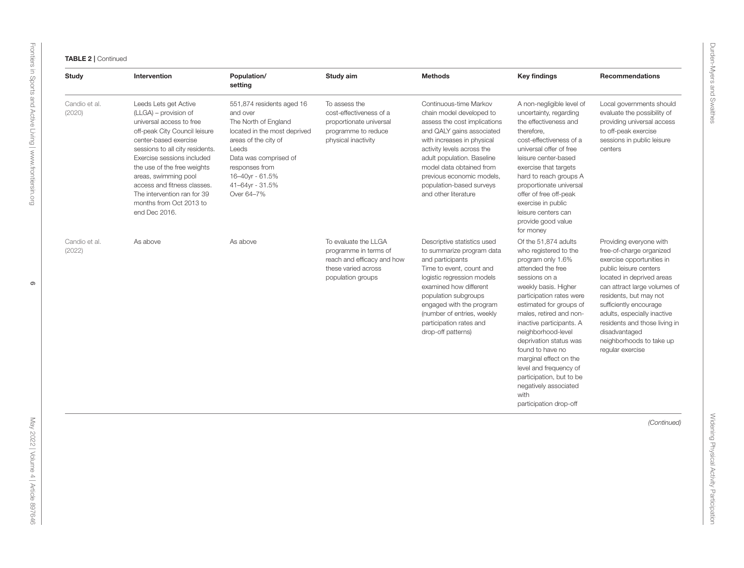| Study                   | Intervention                                                                                                                                                                                                                                                                                                                                                           | Population/<br>setting                                                                                                                                                                                                        | Study aim                                                                                                               | <b>Methods</b>                                                                                                                                                                                                                                                                                                         | <b>Key findings</b>                                                                                                                                                                                                                                                                                                                                                                                                                                           | <b>Recommendations</b>                                                                                                                                                                                                                                                                                                                                       |
|-------------------------|------------------------------------------------------------------------------------------------------------------------------------------------------------------------------------------------------------------------------------------------------------------------------------------------------------------------------------------------------------------------|-------------------------------------------------------------------------------------------------------------------------------------------------------------------------------------------------------------------------------|-------------------------------------------------------------------------------------------------------------------------|------------------------------------------------------------------------------------------------------------------------------------------------------------------------------------------------------------------------------------------------------------------------------------------------------------------------|---------------------------------------------------------------------------------------------------------------------------------------------------------------------------------------------------------------------------------------------------------------------------------------------------------------------------------------------------------------------------------------------------------------------------------------------------------------|--------------------------------------------------------------------------------------------------------------------------------------------------------------------------------------------------------------------------------------------------------------------------------------------------------------------------------------------------------------|
| Candio et al.<br>(2020) | Leeds Lets get Active<br>(LLGA) - provision of<br>universal access to free<br>off-peak City Council leisure<br>center-based exercise<br>sessions to all city residents.<br>Exercise sessions included<br>the use of the free weights<br>areas, swimming pool<br>access and fitness classes.<br>The intervention ran for 39<br>months from Oct 2013 to<br>end Dec 2016. | 551,874 residents aged 16<br>and over<br>The North of England<br>located in the most deprived<br>areas of the city of<br>Leeds<br>Data was comprised of<br>responses from<br>16-40yr - 61.5%<br>41-64yr - 31.5%<br>Over 64-7% | To assess the<br>cost-effectiveness of a<br>proportionate universal<br>programme to reduce<br>physical inactivity       | Continuous-time Markov<br>chain model developed to<br>assess the cost implications<br>and QALY gains associated<br>with increases in physical<br>activity levels across the<br>adult population. Baseline<br>model data obtained from<br>previous economic models,<br>population-based surveys<br>and other literature | A non-negligible level of<br>uncertainty, regarding<br>the effectiveness and<br>therefore,<br>cost-effectiveness of a<br>universal offer of free<br>leisure center-based<br>exercise that targets<br>hard to reach groups A<br>proportionate universal<br>offer of free off-peak<br>exercise in public<br>leisure centers can<br>provide good value<br>for money                                                                                              | Local governments should<br>evaluate the possibility of<br>providing universal access<br>to off-peak exercise<br>sessions in public leisure<br>centers                                                                                                                                                                                                       |
| Candio et al.<br>(2022) | As above                                                                                                                                                                                                                                                                                                                                                               | As above                                                                                                                                                                                                                      | To evaluate the LLGA<br>programme in terms of<br>reach and efficacy and how<br>these varied across<br>population groups | Descriptive statistics used<br>to summarize program data<br>and participants<br>Time to event, count and<br>logistic regression models<br>examined how different<br>population subgroups<br>engaged with the program<br>(number of entries, weekly<br>participation rates and<br>drop-off patterns)                    | Of the 51,874 adults<br>who registered to the<br>program only 1.6%<br>attended the free<br>sessions on a<br>weekly basis. Higher<br>participation rates were<br>estimated for groups of<br>males, retired and non-<br>inactive participants. A<br>neighborhood-level<br>deprivation status was<br>found to have no<br>marginal effect on the<br>level and frequency of<br>participation, but to be<br>negatively associated<br>with<br>participation drop-off | Providing everyone with<br>free-of-charge organized<br>exercise opportunities in<br>public leisure centers<br>located in deprived areas<br>can attract large volumes of<br>residents, but may not<br>sufficiently encourage<br>adults, especially inactive<br>residents and those living in<br>disadvantaged<br>neighborhoods to take up<br>regular exercise |
|                         |                                                                                                                                                                                                                                                                                                                                                                        |                                                                                                                                                                                                                               |                                                                                                                         |                                                                                                                                                                                                                                                                                                                        |                                                                                                                                                                                                                                                                                                                                                                                                                                                               | (Continued)                                                                                                                                                                                                                                                                                                                                                  |
|                         |                                                                                                                                                                                                                                                                                                                                                                        |                                                                                                                                                                                                                               |                                                                                                                         |                                                                                                                                                                                                                                                                                                                        |                                                                                                                                                                                                                                                                                                                                                                                                                                                               |                                                                                                                                                                                                                                                                                                                                                              |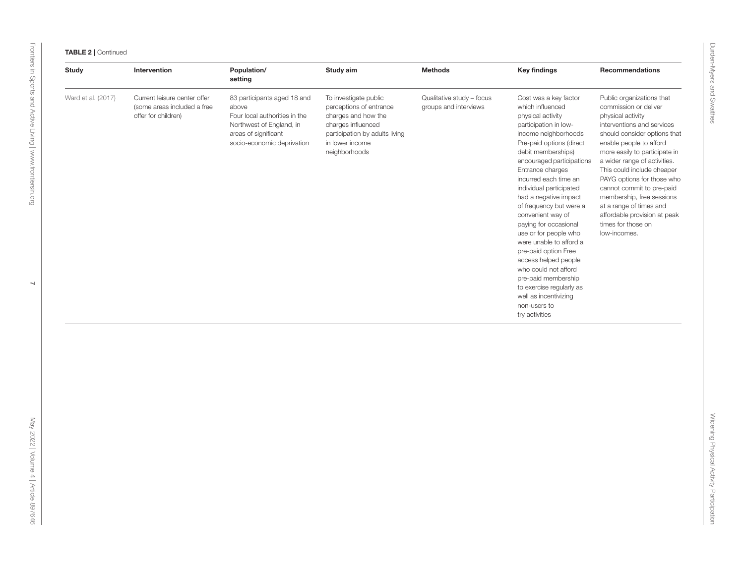| <b>Study</b>       | Intervention                                                                       | Population/<br>setting                                                                                                                                  | Study aim                                                                                                                                                           | <b>Methods</b>                                     | <b>Key findings</b>                                                                                                                                                                                                                                                                                                                                                                                                                                                                                                                                                                                                | <b>Recommendations</b>                                                                                                                                                                                                                                                                                                                                                                                                                                   |
|--------------------|------------------------------------------------------------------------------------|---------------------------------------------------------------------------------------------------------------------------------------------------------|---------------------------------------------------------------------------------------------------------------------------------------------------------------------|----------------------------------------------------|--------------------------------------------------------------------------------------------------------------------------------------------------------------------------------------------------------------------------------------------------------------------------------------------------------------------------------------------------------------------------------------------------------------------------------------------------------------------------------------------------------------------------------------------------------------------------------------------------------------------|----------------------------------------------------------------------------------------------------------------------------------------------------------------------------------------------------------------------------------------------------------------------------------------------------------------------------------------------------------------------------------------------------------------------------------------------------------|
| Ward et al. (2017) | Current leisure center offer<br>(some areas included a free<br>offer for children) | 83 participants aged 18 and<br>above<br>Four local authorities in the<br>Northwest of England, in<br>areas of significant<br>socio-economic deprivation | To investigate public<br>perceptions of entrance<br>charges and how the<br>charges influenced<br>participation by adults living<br>in lower income<br>neighborhoods | Qualitative study - focus<br>groups and interviews | Cost was a key factor<br>which influenced<br>physical activity<br>participation in low-<br>income neighborhoods<br>Pre-paid options (direct<br>debit memberships)<br>encouraged participations<br>Entrance charges<br>incurred each time an<br>individual participated<br>had a negative impact<br>of frequency but were a<br>convenient way of<br>paying for occasional<br>use or for people who<br>were unable to afford a<br>pre-paid option Free<br>access helped people<br>who could not afford<br>pre-paid membership<br>to exercise regularly as<br>well as incentivizing<br>non-users to<br>try activities | Public organizations that<br>commission or deliver<br>physical activity<br>interventions and services<br>should consider options that<br>enable people to afford<br>more easily to participate in<br>a wider range of activities.<br>This could include cheaper<br>PAYG options for those who<br>cannot commit to pre-paid<br>membership, free sessions<br>at a range of times and<br>affordable provision at peak<br>times for those on<br>low-incomes. |
|                    |                                                                                    |                                                                                                                                                         |                                                                                                                                                                     |                                                    |                                                                                                                                                                                                                                                                                                                                                                                                                                                                                                                                                                                                                    |                                                                                                                                                                                                                                                                                                                                                                                                                                                          |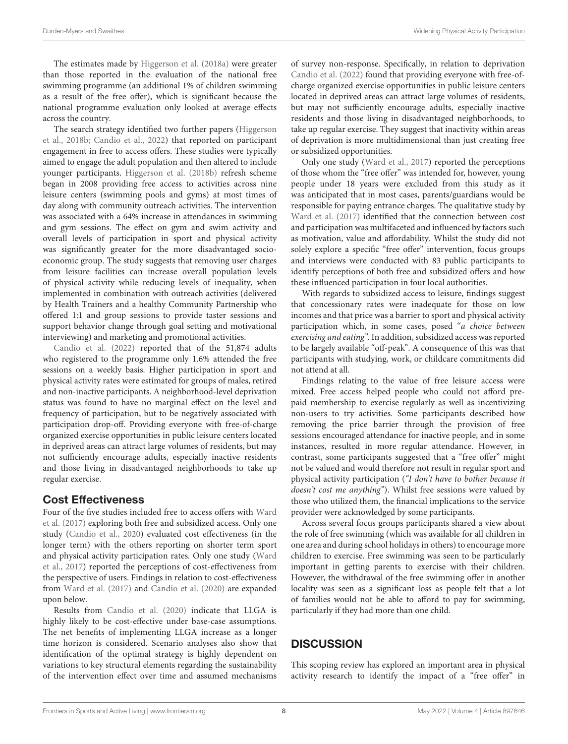The estimates made by [Higgerson et al. \(2018a\)](#page-11-23) were greater than those reported in the evaluation of the national free swimming programme (an additional 1% of children swimming as a result of the free offer), which is significant because the national programme evaluation only looked at average effects across the country.

The search strategy identified two further papers (Higgerson et al., [2018b;](#page-11-24) [Candio et al., 2022\)](#page-11-25) that reported on participant engagement in free to access offers. These studies were typically aimed to engage the adult population and then altered to include younger participants. [Higgerson et al. \(2018b\)](#page-11-24) refresh scheme began in 2008 providing free access to activities across nine leisure centers (swimming pools and gyms) at most times of day along with community outreach activities. The intervention was associated with a 64% increase in attendances in swimming and gym sessions. The effect on gym and swim activity and overall levels of participation in sport and physical activity was significantly greater for the more disadvantaged socioeconomic group. The study suggests that removing user charges from leisure facilities can increase overall population levels of physical activity while reducing levels of inequality, when implemented in combination with outreach activities (delivered by Health Trainers and a healthy Community Partnership who offered 1:1 and group sessions to provide taster sessions and support behavior change through goal setting and motivational interviewing) and marketing and promotional activities.

[Candio et al. \(2022\)](#page-11-25) reported that of the 51,874 adults who registered to the programme only 1.6% attended the free sessions on a weekly basis. Higher participation in sport and physical activity rates were estimated for groups of males, retired and non-inactive participants. A neighborhood-level deprivation status was found to have no marginal effect on the level and frequency of participation, but to be negatively associated with participation drop-off. Providing everyone with free-of-charge organized exercise opportunities in public leisure centers located in deprived areas can attract large volumes of residents, but may not sufficiently encourage adults, especially inactive residents and those living in disadvantaged neighborhoods to take up regular exercise.

#### Cost Effectiveness

Four of the five studies included free to access offers with Ward et al. [\(2017\)](#page-11-26) exploring both free and subsidized access. Only one study [\(Candio et al., 2020\)](#page-11-17) evaluated cost effectiveness (in the longer term) with the others reporting on shorter term sport and physical activity participation rates. Only one study (Ward et al., [2017\)](#page-11-26) reported the perceptions of cost-effectiveness from the perspective of users. Findings in relation to cost-effectiveness from [Ward et al. \(2017\)](#page-11-26) and [Candio et al. \(2020\)](#page-11-17) are expanded upon below.

Results from [Candio et al. \(2020\)](#page-11-17) indicate that LLGA is highly likely to be cost-effective under base-case assumptions. The net benefits of implementing LLGA increase as a longer time horizon is considered. Scenario analyses also show that identification of the optimal strategy is highly dependent on variations to key structural elements regarding the sustainability of the intervention effect over time and assumed mechanisms of survey non-response. Specifically, in relation to deprivation [Candio et al. \(2022\)](#page-11-25) found that providing everyone with free-ofcharge organized exercise opportunities in public leisure centers located in deprived areas can attract large volumes of residents, but may not sufficiently encourage adults, especially inactive residents and those living in disadvantaged neighborhoods, to take up regular exercise. They suggest that inactivity within areas of deprivation is more multidimensional than just creating free or subsidized opportunities.

Only one study [\(Ward et al., 2017\)](#page-11-26) reported the perceptions of those whom the "free offer" was intended for, however, young people under 18 years were excluded from this study as it was anticipated that in most cases, parents/guardians would be responsible for paying entrance charges. The qualitative study by [Ward et al. \(2017\)](#page-11-26) identified that the connection between cost and participation was multifaceted and influenced by factors such as motivation, value and affordability. Whilst the study did not solely explore a specific "free offer" intervention, focus groups and interviews were conducted with 83 public participants to identify perceptions of both free and subsidized offers and how these influenced participation in four local authorities.

With regards to subsidized access to leisure, findings suggest that concessionary rates were inadequate for those on low incomes and that price was a barrier to sport and physical activity participation which, in some cases, posed "a choice between exercising and eating". In addition, subsidized access was reported to be largely available "off-peak". A consequence of this was that participants with studying, work, or childcare commitments did not attend at all.

Findings relating to the value of free leisure access were mixed. Free access helped people who could not afford prepaid membership to exercise regularly as well as incentivizing non-users to try activities. Some participants described how removing the price barrier through the provision of free sessions encouraged attendance for inactive people, and in some instances, resulted in more regular attendance. However, in contrast, some participants suggested that a "free offer" might not be valued and would therefore not result in regular sport and physical activity participation ("I don't have to bother because it doesn't cost me anything"). Whilst free sessions were valued by those who utilized them, the financial implications to the service provider were acknowledged by some participants.

Across several focus groups participants shared a view about the role of free swimming (which was available for all children in one area and during school holidays in others) to encourage more children to exercise. Free swimming was seen to be particularly important in getting parents to exercise with their children. However, the withdrawal of the free swimming offer in another locality was seen as a significant loss as people felt that a lot of families would not be able to afford to pay for swimming, particularly if they had more than one child.

#### **DISCUSSION**

This scoping review has explored an important area in physical activity research to identify the impact of a "free offer" in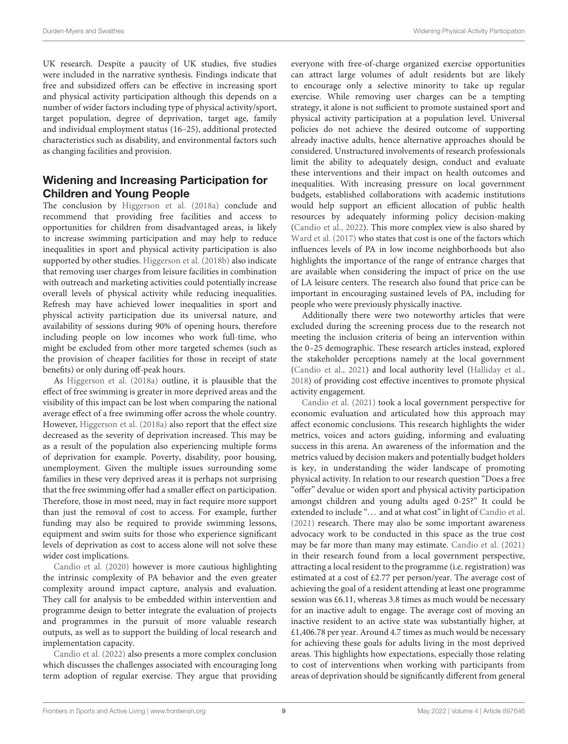UK research. Despite a paucity of UK studies, five studies were included in the narrative synthesis. Findings indicate that free and subsidized offers can be effective in increasing sport and physical activity participation although this depends on a number of wider factors including type of physical activity/sport, target population, degree of deprivation, target age, family and individual employment status (16–25), additional protected characteristics such as disability, and environmental factors such as changing facilities and provision.

#### Widening and Increasing Participation for Children and Young People

The conclusion by [Higgerson et al. \(2018a\)](#page-11-23) conclude and recommend that providing free facilities and access to opportunities for children from disadvantaged areas, is likely to increase swimming participation and may help to reduce inequalities in sport and physical activity participation is also supported by other studies. [Higgerson et al. \(2018b\)](#page-11-24) also indicate that removing user charges from leisure facilities in combination with outreach and marketing activities could potentially increase overall levels of physical activity while reducing inequalities. Refresh may have achieved lower inequalities in sport and physical activity participation due its universal nature, and availability of sessions during 90% of opening hours, therefore including people on low incomes who work full-time, who might be excluded from other more targeted schemes (such as the provision of cheaper facilities for those in receipt of state benefits) or only during off-peak hours.

As [Higgerson et al. \(2018a\)](#page-11-23) outline, it is plausible that the effect of free swimming is greater in more deprived areas and the visibility of this impact can be lost when comparing the national average effect of a free swimming offer across the whole country. However, [Higgerson et al. \(2018a\)](#page-11-23) also report that the effect size decreased as the severity of deprivation increased. This may be as a result of the population also experiencing multiple forms of deprivation for example. Poverty, disability, poor housing, unemployment. Given the multiple issues surrounding some families in these very deprived areas it is perhaps not surprising that the free swimming offer had a smaller effect on participation. Therefore, those in most need, may in fact require more support than just the removal of cost to access. For example, further funding may also be required to provide swimming lessons, equipment and swim suits for those who experience significant levels of deprivation as cost to access alone will not solve these wider cost implications.

[Candio et al. \(2020\)](#page-11-17) however is more cautious highlighting the intrinsic complexity of PA behavior and the even greater complexity around impact capture, analysis and evaluation. They call for analysis to be embedded within intervention and programme design to better integrate the evaluation of projects and programmes in the pursuit of more valuable research outputs, as well as to support the building of local research and implementation capacity.

[Candio et al. \(2022\)](#page-11-25) also presents a more complex conclusion which discusses the challenges associated with encouraging long term adoption of regular exercise. They argue that providing everyone with free-of-charge organized exercise opportunities can attract large volumes of adult residents but are likely to encourage only a selective minority to take up regular exercise. While removing user charges can be a tempting strategy, it alone is not sufficient to promote sustained sport and physical activity participation at a population level. Universal policies do not achieve the desired outcome of supporting already inactive adults, hence alternative approaches should be considered. Unstructured involvements of research professionals limit the ability to adequately design, conduct and evaluate these interventions and their impact on health outcomes and inequalities. With increasing pressure on local government budgets, established collaborations with academic institutions would help support an efficient allocation of public health resources by adequately informing policy decision-making [\(Candio et al., 2022\)](#page-11-25). This more complex view is also shared by [Ward et al. \(2017\)](#page-11-26) who states that cost is one of the factors which influences levels of PA in low income neighborhoods but also highlights the importance of the range of entrance charges that are available when considering the impact of price on the use of LA leisure centers. The research also found that price can be important in encouraging sustained levels of PA, including for people who were previously physically inactive.

Additionally there were two noteworthy articles that were excluded during the screening process due to the research not meeting the inclusion criteria of being an intervention within the 0–25 demographic. These research articles instead, explored the stakeholder perceptions namely at the local government [\(Candio et al., 2021\)](#page-11-32) and local authority level [\(Halliday et al.,](#page-11-33) [2018\)](#page-11-33) of providing cost effective incentives to promote physical activity engagement.

[Candio et al. \(2021\)](#page-11-32) took a local government perspective for economic evaluation and articulated how this approach may affect economic conclusions. This research highlights the wider metrics, voices and actors guiding, informing and evaluating success in this arena. An awareness of the information and the metrics valued by decision makers and potentially budget holders is key, in understanding the wider landscape of promoting physical activity. In relation to our research question "Does a free "offer" devalue or widen sport and physical activity participation amongst children and young adults aged 0-25?" It could be extended to include "... and at what cost" in light of [Candio et al.](#page-11-32) [\(2021\)](#page-11-32) research. There may also be some important awareness advocacy work to be conducted in this space as the true cost may be far more than many may estimate. [Candio et al. \(2021\)](#page-11-32) in their research found from a local government perspective, attracting a local resident to the programme (i.e. registration) was estimated at a cost of £2.77 per person/year. The average cost of achieving the goal of a resident attending at least one programme session was £6.11, whereas 3.8 times as much would be necessary for an inactive adult to engage. The average cost of moving an inactive resident to an active state was substantially higher, at £1,406.78 per year. Around 4.7 times as much would be necessary for achieving these goals for adults living in the most deprived areas. This highlights how expectations, especially those relating to cost of interventions when working with participants from areas of deprivation should be significantly different from general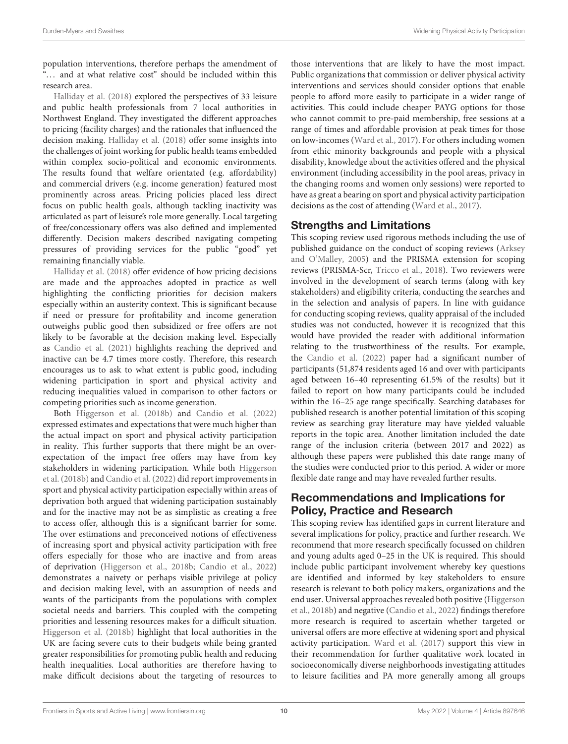population interventions, therefore perhaps the amendment of "... and at what relative cost" should be included within this research area.

[Halliday et al. \(2018\)](#page-11-33) explored the perspectives of 33 leisure and public health professionals from 7 local authorities in Northwest England. They investigated the different approaches to pricing (facility charges) and the rationales that influenced the decision making. [Halliday et al. \(2018\)](#page-11-33) offer some insights into the challenges of joint working for public health teams embedded within complex socio-political and economic environments. The results found that welfare orientated (e.g. affordability) and commercial drivers (e.g. income generation) featured most prominently across areas. Pricing policies placed less direct focus on public health goals, although tackling inactivity was articulated as part of leisure's role more generally. Local targeting of free/concessionary offers was also defined and implemented differently. Decision makers described navigating competing pressures of providing services for the public "good" yet remaining financially viable.

[Halliday et al. \(2018\)](#page-11-33) offer evidence of how pricing decisions are made and the approaches adopted in practice as well highlighting the conflicting priorities for decision makers especially within an austerity context. This is significant because if need or pressure for profitability and income generation outweighs public good then subsidized or free offers are not likely to be favorable at the decision making level. Especially as [Candio et al. \(2021\)](#page-11-32) highlights reaching the deprived and inactive can be 4.7 times more costly. Therefore, this research encourages us to ask to what extent is public good, including widening participation in sport and physical activity and reducing inequalities valued in comparison to other factors or competing priorities such as income generation.

Both [Higgerson et al. \(2018b\)](#page-11-24) and [Candio et al. \(2022\)](#page-11-25) expressed estimates and expectations that were much higher than the actual impact on sport and physical activity participation in reality. This further supports that there might be an overexpectation of the impact free offers may have from key stakeholders in widening participation. While both Higgerson et al. [\(2018b\)](#page-11-24) and [Candio et al. \(2022\)](#page-11-25) did report improvements in sport and physical activity participation especially within areas of deprivation both argued that widening participation sustainably and for the inactive may not be as simplistic as creating a free to access offer, although this is a significant barrier for some. The over estimations and preconceived notions of effectiveness of increasing sport and physical activity participation with free offers especially for those who are inactive and from areas of deprivation [\(Higgerson et al., 2018b;](#page-11-24) [Candio et al., 2022\)](#page-11-25) demonstrates a naivety or perhaps visible privilege at policy and decision making level, with an assumption of needs and wants of the participants from the populations with complex societal needs and barriers. This coupled with the competing priorities and lessening resources makes for a difficult situation. [Higgerson et al. \(2018b\)](#page-11-24) highlight that local authorities in the UK are facing severe cuts to their budgets while being granted greater responsibilities for promoting public health and reducing health inequalities. Local authorities are therefore having to make difficult decisions about the targeting of resources to

those interventions that are likely to have the most impact. Public organizations that commission or deliver physical activity interventions and services should consider options that enable people to afford more easily to participate in a wider range of activities. This could include cheaper PAYG options for those who cannot commit to pre-paid membership, free sessions at a range of times and affordable provision at peak times for those on low-incomes [\(Ward et al., 2017\)](#page-11-26). For others including women from ethic minority backgrounds and people with a physical disability, knowledge about the activities offered and the physical environment (including accessibility in the pool areas, privacy in the changing rooms and women only sessions) were reported to have as great a bearing on sport and physical activity participation decisions as the cost of attending [\(Ward et al., 2017\)](#page-11-26).

#### Strengths and Limitations

This scoping review used rigorous methods including the use of published guidance on the conduct of scoping reviews (Arksey and O'Malley, [2005\)](#page-11-19) and the PRISMA extension for scoping reviews (PRISMA-Scr, [Tricco et al., 2018\)](#page-11-21). Two reviewers were involved in the development of search terms (along with key stakeholders) and eligibility criteria, conducting the searches and in the selection and analysis of papers. In line with guidance for conducting scoping reviews, quality appraisal of the included studies was not conducted, however it is recognized that this would have provided the reader with additional information relating to the trustworthiness of the results. For example, the [Candio et al. \(2022\)](#page-11-25) paper had a significant number of participants (51,874 residents aged 16 and over with participants aged between 16–40 representing 61.5% of the results) but it failed to report on how many participants could be included within the 16–25 age range specifically. Searching databases for published research is another potential limitation of this scoping review as searching gray literature may have yielded valuable reports in the topic area. Another limitation included the date range of the inclusion criteria (between 2017 and 2022) as although these papers were published this date range many of the studies were conducted prior to this period. A wider or more flexible date range and may have revealed further results.

#### Recommendations and Implications for Policy, Practice and Research

This scoping review has identified gaps in current literature and several implications for policy, practice and further research. We recommend that more research specifically focussed on children and young adults aged 0–25 in the UK is required. This should include public participant involvement whereby key questions are identified and informed by key stakeholders to ensure research is relevant to both policy makers, organizations and the end user. Universal approaches revealed both positive (Higgerson et al., [2018b\)](#page-11-24) and negative [\(Candio et al., 2022\)](#page-11-25) findings therefore more research is required to ascertain whether targeted or universal offers are more effective at widening sport and physical activity participation. [Ward et al. \(2017\)](#page-11-26) support this view in their recommendation for further qualitative work located in socioeconomically diverse neighborhoods investigating attitudes to leisure facilities and PA more generally among all groups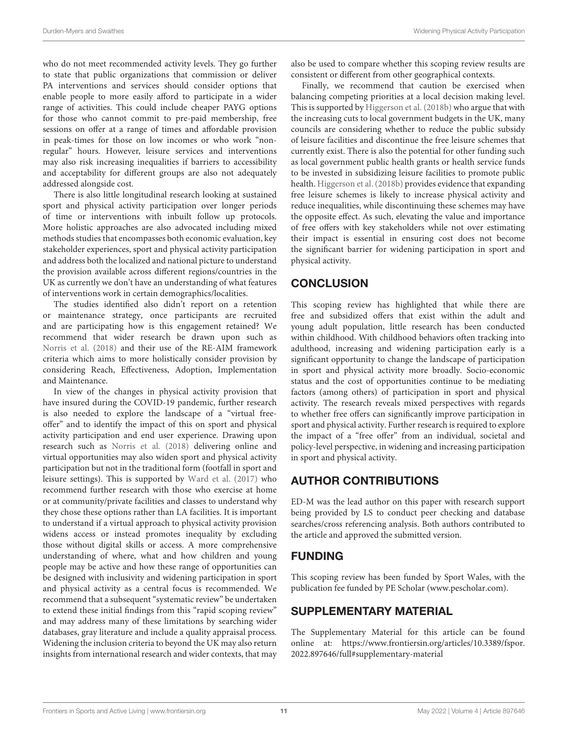who do not meet recommended activity levels. They go further to state that public organizations that commission or deliver PA interventions and services should consider options that enable people to more easily afford to participate in a wider range of activities. This could include cheaper PAYG options for those who cannot commit to pre-paid membership, free sessions on offer at a range of times and affordable provision in peak-times for those on low incomes or who work "nonregular" hours. However, leisure services and interventions may also risk increasing inequalities if barriers to accessibility and acceptability for different groups are also not adequately addressed alongside cost.

There is also little longitudinal research looking at sustained sport and physical activity participation over longer periods of time or interventions with inbuilt follow up protocols. More holistic approaches are also advocated including mixed methods studies that encompasses both economic evaluation, key stakeholder experiences, sport and physical activity participation and address both the localized and national picture to understand the provision available across different regions/countries in the UK as currently we don't have an understanding of what features of interventions work in certain demographics/localities.

The studies identified also didn't report on a retention or maintenance strategy, once participants are recruited and are participating how is this engagement retained? We recommend that wider research be drawn upon such as [Norris et al. \(2018\)](#page-11-34) and their use of the RE-AIM framework criteria which aims to more holistically consider provision by considering Reach, Effectiveness, Adoption, Implementation and Maintenance.

In view of the changes in physical activity provision that have insured during the COVID-19 pandemic, further research is also needed to explore the landscape of a "virtual freeoffer" and to identify the impact of this on sport and physical activity participation and end user experience. Drawing upon research such as [Norris et al. \(2018\)](#page-11-34) delivering online and virtual opportunities may also widen sport and physical activity participation but not in the traditional form (footfall in sport and leisure settings). This is supported by [Ward et al. \(2017\)](#page-11-26) who recommend further research with those who exercise at home or at community/private facilities and classes to understand why they chose these options rather than LA facilities. It is important to understand if a virtual approach to physical activity provision widens access or instead promotes inequality by excluding those without digital skills or access. A more comprehensive understanding of where, what and how children and young people may be active and how these range of opportunities can be designed with inclusivity and widening participation in sport and physical activity as a central focus is recommended. We recommend that a subsequent "systematic review" be undertaken to extend these initial findings from this "rapid scoping review" and may address many of these limitations by searching wider databases, gray literature and include a quality appraisal process. Widening the inclusion criteria to beyond the UK may also return insights from international research and wider contexts, that may also be used to compare whether this scoping review results are consistent or different from other geographical contexts.

Finally, we recommend that caution be exercised when balancing competing priorities at a local decision making level. This is supported by [Higgerson et al. \(2018b\)](#page-11-24) who argue that with the increasing cuts to local government budgets in the UK, many councils are considering whether to reduce the public subsidy of leisure facilities and discontinue the free leisure schemes that currently exist. There is also the potential for other funding such as local government public health grants or health service funds to be invested in subsidizing leisure facilities to promote public health. [Higgerson et al. \(2018b\)](#page-11-24) provides evidence that expanding free leisure schemes is likely to increase physical activity and reduce inequalities, while discontinuing these schemes may have the opposite effect. As such, elevating the value and importance of free offers with key stakeholders while not over estimating their impact is essential in ensuring cost does not become the significant barrier for widening participation in sport and physical activity.

### **CONCLUSION**

This scoping review has highlighted that while there are free and subsidized offers that exist within the adult and young adult population, little research has been conducted within childhood. With childhood behaviors often tracking into adulthood, increasing and widening participation early is a significant opportunity to change the landscape of participation in sport and physical activity more broadly. Socio-economic status and the cost of opportunities continue to be mediating factors (among others) of participation in sport and physical activity. The research reveals mixed perspectives with regards to whether free offers can significantly improve participation in sport and physical activity. Further research is required to explore the impact of a "free offer" from an individual, societal and policy-level perspective, in widening and increasing participation in sport and physical activity.

# AUTHOR CONTRIBUTIONS

ED-M was the lead author on this paper with research support being provided by LS to conduct peer checking and database searches/cross referencing analysis. Both authors contributed to the article and approved the submitted version.

# FUNDING

This scoping review has been funded by Sport Wales, with the publication fee funded by PE Scholar [\(www.pescholar.com\)](www.pescholar.com).

# SUPPLEMENTARY MATERIAL

<span id="page-10-0"></span>The Supplementary Material for this article can be found [online at: https://www.frontiersin.org/articles/10.3389/fspor.](https://www.frontiersin.org/articles/10.3389/fspor.2022.897646/full#supplementary-material) 2022.897646/full#supplementary-material